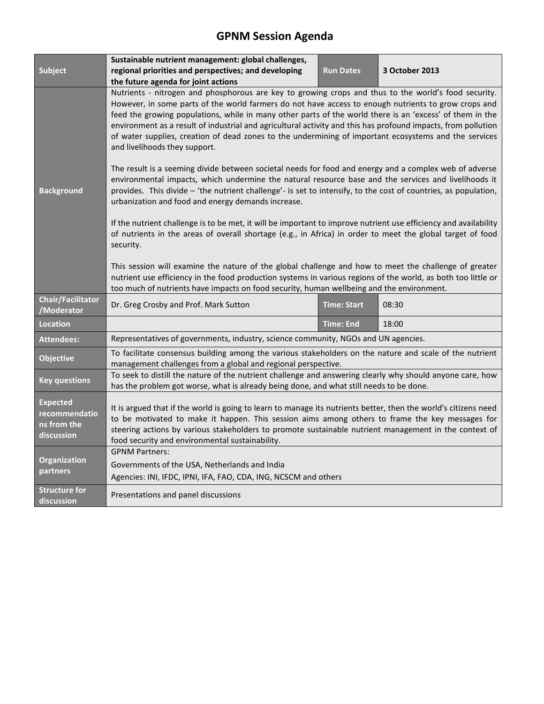# **GPNM Session Agenda**

|                                                               | Sustainable nutrient management: global challenges,                                                                                                                                                                                                                                                                                                                                                                                                                                                                                                                                 |                    |                |  |
|---------------------------------------------------------------|-------------------------------------------------------------------------------------------------------------------------------------------------------------------------------------------------------------------------------------------------------------------------------------------------------------------------------------------------------------------------------------------------------------------------------------------------------------------------------------------------------------------------------------------------------------------------------------|--------------------|----------------|--|
| Subject                                                       | regional priorities and perspectives; and developing<br>the future agenda for joint actions                                                                                                                                                                                                                                                                                                                                                                                                                                                                                         | <b>Run Dates</b>   | 3 October 2013 |  |
|                                                               | Nutrients - nitrogen and phosphorous are key to growing crops and thus to the world's food security.<br>However, in some parts of the world farmers do not have access to enough nutrients to grow crops and<br>feed the growing populations, while in many other parts of the world there is an 'excess' of them in the<br>environment as a result of industrial and agricultural activity and this has profound impacts, from pollution<br>of water supplies, creation of dead zones to the undermining of important ecosystems and the services<br>and livelihoods they support. |                    |                |  |
| <b>Background</b>                                             | The result is a seeming divide between societal needs for food and energy and a complex web of adverse<br>environmental impacts, which undermine the natural resource base and the services and livelihoods it<br>provides. This divide - 'the nutrient challenge'- is set to intensify, to the cost of countries, as population,<br>urbanization and food and energy demands increase.<br>If the nutrient challenge is to be met, it will be important to improve nutrient use efficiency and availability                                                                         |                    |                |  |
|                                                               | of nutrients in the areas of overall shortage (e.g., in Africa) in order to meet the global target of food<br>security.<br>This session will examine the nature of the global challenge and how to meet the challenge of greater<br>nutrient use efficiency in the food production systems in various regions of the world, as both too little or<br>too much of nutrients have impacts on food security, human wellbeing and the environment.                                                                                                                                      |                    |                |  |
| <b>Chair/Facilitator</b><br>/Moderator                        | Dr. Greg Crosby and Prof. Mark Sutton                                                                                                                                                                                                                                                                                                                                                                                                                                                                                                                                               | <b>Time: Start</b> | 08:30          |  |
| <b>Location</b>                                               |                                                                                                                                                                                                                                                                                                                                                                                                                                                                                                                                                                                     | <b>Time: End</b>   | 18:00          |  |
| <b>Attendees:</b>                                             | Representatives of governments, industry, science community, NGOs and UN agencies.                                                                                                                                                                                                                                                                                                                                                                                                                                                                                                  |                    |                |  |
| <b>Objective</b>                                              | To facilitate consensus building among the various stakeholders on the nature and scale of the nutrient<br>management challenges from a global and regional perspective.                                                                                                                                                                                                                                                                                                                                                                                                            |                    |                |  |
| <b>Key questions</b>                                          | To seek to distill the nature of the nutrient challenge and answering clearly why should anyone care, how<br>has the problem got worse, what is already being done, and what still needs to be done.                                                                                                                                                                                                                                                                                                                                                                                |                    |                |  |
| <b>Expected</b><br>recommendatio<br>ns from the<br>discussion | It is argued that if the world is going to learn to manage its nutrients better, then the world's citizens need<br>to be motivated to make it happen. This session aims among others to frame the key messages for<br>steering actions by various stakeholders to promote sustainable nutrient management in the context of<br>food security and environmental sustainability.                                                                                                                                                                                                      |                    |                |  |
| <b>Organization</b><br>partners                               | <b>GPNM Partners:</b><br>Governments of the USA, Netherlands and India<br>Agencies: INI, IFDC, IPNI, IFA, FAO, CDA, ING, NCSCM and others                                                                                                                                                                                                                                                                                                                                                                                                                                           |                    |                |  |
| <b>Structure for</b><br>discussion                            | Presentations and panel discussions                                                                                                                                                                                                                                                                                                                                                                                                                                                                                                                                                 |                    |                |  |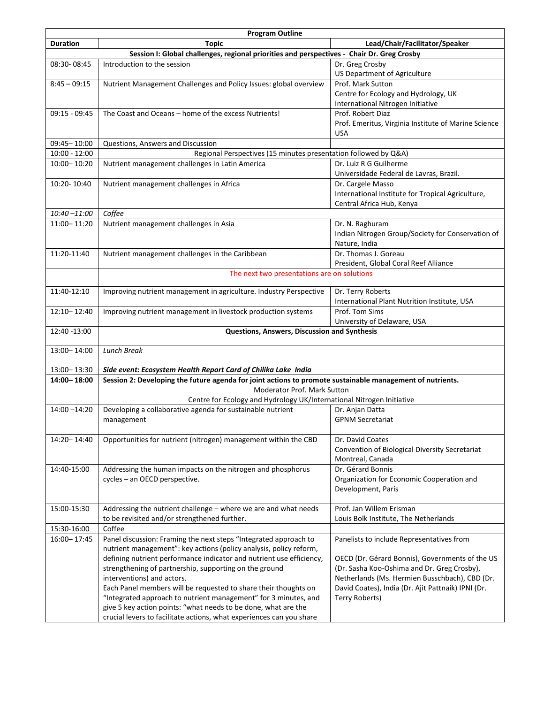| <b>Program Outline</b> |                                                                                                                                                                                                                                                                                                                                                                                                                                              |                                                                                                                                                                                                                                                                       |  |  |  |
|------------------------|----------------------------------------------------------------------------------------------------------------------------------------------------------------------------------------------------------------------------------------------------------------------------------------------------------------------------------------------------------------------------------------------------------------------------------------------|-----------------------------------------------------------------------------------------------------------------------------------------------------------------------------------------------------------------------------------------------------------------------|--|--|--|
| <b>Duration</b>        | <b>Topic</b>                                                                                                                                                                                                                                                                                                                                                                                                                                 | Lead/Chair/Facilitator/Speaker                                                                                                                                                                                                                                        |  |  |  |
|                        | Session I: Global challenges, regional priorities and perspectives - Chair Dr. Greg Crosby                                                                                                                                                                                                                                                                                                                                                   |                                                                                                                                                                                                                                                                       |  |  |  |
| 08:30-08:45            | Introduction to the session                                                                                                                                                                                                                                                                                                                                                                                                                  | Dr. Greg Crosby<br>US Department of Agriculture                                                                                                                                                                                                                       |  |  |  |
| $8:45 - 09:15$         | Nutrient Management Challenges and Policy Issues: global overview                                                                                                                                                                                                                                                                                                                                                                            | Prof. Mark Sutton<br>Centre for Ecology and Hydrology, UK<br>International Nitrogen Initiative                                                                                                                                                                        |  |  |  |
| 09:15 - 09:45          | The Coast and Oceans – home of the excess Nutrients!                                                                                                                                                                                                                                                                                                                                                                                         | Prof. Robert Diaz<br>Prof. Emeritus, Virginia Institute of Marine Science<br><b>USA</b>                                                                                                                                                                               |  |  |  |
| 09:45-10:00            | Questions, Answers and Discussion                                                                                                                                                                                                                                                                                                                                                                                                            |                                                                                                                                                                                                                                                                       |  |  |  |
| $10:00 - 12:00$        | Regional Perspectives (15 minutes presentation followed by Q&A)                                                                                                                                                                                                                                                                                                                                                                              |                                                                                                                                                                                                                                                                       |  |  |  |
| $10:00 - 10:20$        | Nutrient management challenges in Latin America                                                                                                                                                                                                                                                                                                                                                                                              | Dr. Luiz R G Guilherme<br>Universidade Federal de Lavras, Brazil.                                                                                                                                                                                                     |  |  |  |
| 10:20-10:40            | Nutrient management challenges in Africa                                                                                                                                                                                                                                                                                                                                                                                                     | Dr. Cargele Masso<br>International Institute for Tropical Agriculture,<br>Central Africa Hub, Kenya                                                                                                                                                                   |  |  |  |
| $10:40 - 11:00$        | Coffee                                                                                                                                                                                                                                                                                                                                                                                                                                       |                                                                                                                                                                                                                                                                       |  |  |  |
| 11:00 - 11:20          | Nutrient management challenges in Asia                                                                                                                                                                                                                                                                                                                                                                                                       | Dr. N. Raghuram<br>Indian Nitrogen Group/Society for Conservation of<br>Nature, India                                                                                                                                                                                 |  |  |  |
| 11:20-11:40            | Nutrient management challenges in the Caribbean                                                                                                                                                                                                                                                                                                                                                                                              | Dr. Thomas J. Goreau<br>President, Global Coral Reef Alliance                                                                                                                                                                                                         |  |  |  |
|                        | The next two presentations are on solutions                                                                                                                                                                                                                                                                                                                                                                                                  |                                                                                                                                                                                                                                                                       |  |  |  |
| 11:40-12:10            | Improving nutrient management in agriculture. Industry Perspective                                                                                                                                                                                                                                                                                                                                                                           | Dr. Terry Roberts<br>International Plant Nutrition Institute, USA                                                                                                                                                                                                     |  |  |  |
| 12:10-12:40            | Improving nutrient management in livestock production systems                                                                                                                                                                                                                                                                                                                                                                                | Prof. Tom Sims<br>University of Delaware, USA                                                                                                                                                                                                                         |  |  |  |
| 12:40 -13:00           | Questions, Answers, Discussion and Synthesis                                                                                                                                                                                                                                                                                                                                                                                                 |                                                                                                                                                                                                                                                                       |  |  |  |
| 13:00-14:00            | <b>Lunch Break</b>                                                                                                                                                                                                                                                                                                                                                                                                                           |                                                                                                                                                                                                                                                                       |  |  |  |
| 13:00 - 13:30          | Side event: Ecosystem Health Report Card of Chilika Lake India                                                                                                                                                                                                                                                                                                                                                                               |                                                                                                                                                                                                                                                                       |  |  |  |
| 14:00-18:00            | Session 2: Developing the future agenda for joint actions to promote sustainable management of nutrients.<br>Moderator Prof. Mark Sutton                                                                                                                                                                                                                                                                                                     |                                                                                                                                                                                                                                                                       |  |  |  |
|                        | Centre for Ecology and Hydrology UK/International Nitrogen Initiative                                                                                                                                                                                                                                                                                                                                                                        |                                                                                                                                                                                                                                                                       |  |  |  |
| $14:00 - 14:20$        | Developing a collaborative agenda for sustainable nutrient<br>management                                                                                                                                                                                                                                                                                                                                                                     | Dr. Anjan Datta<br><b>GPNM Secretariat</b>                                                                                                                                                                                                                            |  |  |  |
| 14:20-14:40            | Opportunities for nutrient (nitrogen) management within the CBD                                                                                                                                                                                                                                                                                                                                                                              | Dr. David Coates<br>Convention of Biological Diversity Secretariat<br>Montreal, Canada                                                                                                                                                                                |  |  |  |
| 14:40-15:00            | Addressing the human impacts on the nitrogen and phosphorus<br>cycles - an OECD perspective.                                                                                                                                                                                                                                                                                                                                                 | Dr. Gérard Bonnis<br>Organization for Economic Cooperation and<br>Development, Paris                                                                                                                                                                                  |  |  |  |
| 15:00-15:30            | Addressing the nutrient challenge - where we are and what needs<br>to be revisited and/or strengthened further.                                                                                                                                                                                                                                                                                                                              | Prof. Jan Willem Erisman<br>Louis Bolk Institute, The Netherlands                                                                                                                                                                                                     |  |  |  |
| 15:30-16:00            | Coffee                                                                                                                                                                                                                                                                                                                                                                                                                                       |                                                                                                                                                                                                                                                                       |  |  |  |
| 16:00-17:45            | Panel discussion: Framing the next steps "Integrated approach to<br>nutrient management": key actions (policy analysis, policy reform,<br>defining nutrient performance indicator and nutrient use efficiency,<br>strengthening of partnership, supporting on the ground<br>interventions) and actors.<br>Each Panel members will be requested to share their thoughts on<br>"Integrated approach to nutrient management" for 3 minutes, and | Panelists to include Representatives from<br>OECD (Dr. Gérard Bonnis), Governments of the US<br>(Dr. Sasha Koo-Oshima and Dr. Greg Crosby),<br>Netherlands (Ms. Hermien Busschbach), CBD (Dr.<br>David Coates), India (Dr. Ajit Pattnaik) IPNI (Dr.<br>Terry Roberts) |  |  |  |
|                        | give 5 key action points: "what needs to be done, what are the<br>crucial levers to facilitate actions, what experiences can you share                                                                                                                                                                                                                                                                                                       |                                                                                                                                                                                                                                                                       |  |  |  |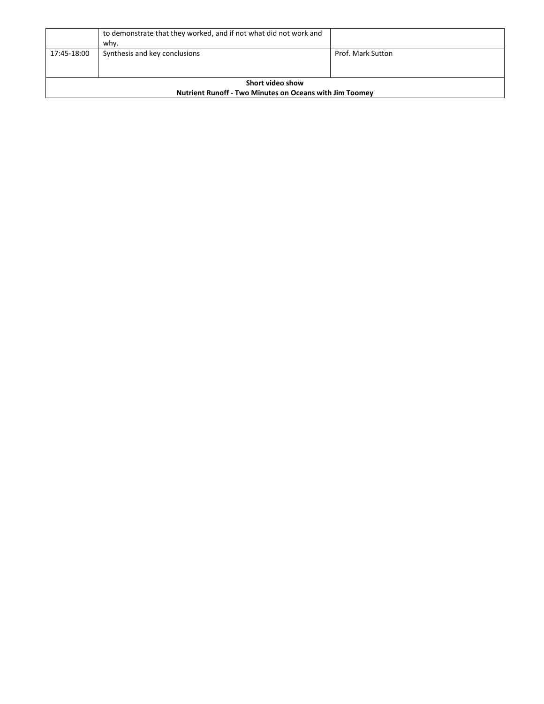|                                                                | to demonstrate that they worked, and if not what did not work and<br>whv. |                   |  |
|----------------------------------------------------------------|---------------------------------------------------------------------------|-------------------|--|
| 17:45-18:00                                                    | Synthesis and key conclusions                                             | Prof. Mark Sutton |  |
|                                                                |                                                                           |                   |  |
| Short video show                                               |                                                                           |                   |  |
| <b>Nutrient Runoff - Two Minutes on Oceans with Jim Toomey</b> |                                                                           |                   |  |